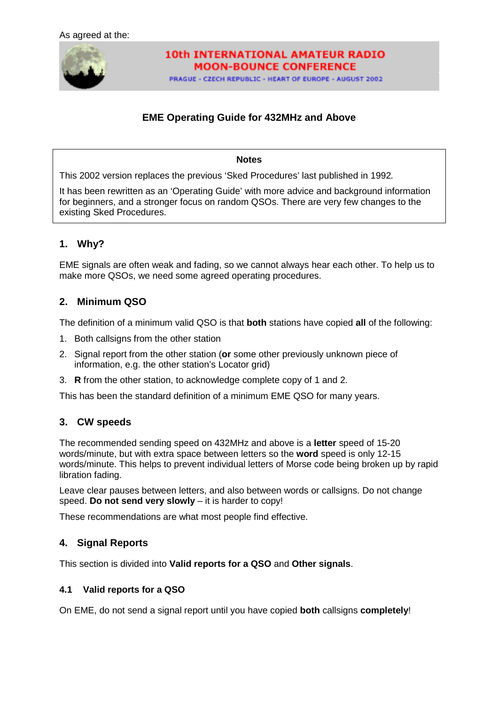

# **10th INTERNATIONAL AMATEUR RADIO MOON-BOUNCE CONFERENCE**

PRAGUE - CZECH REPUBLIC - HEART OF EUROPE - AUGUST 2002

# **EME Operating Guide for 432MHz and Above**

#### **Notes**

This 2002 version replaces the previous 'Sked Procedures' last published in 1992*.*

It has been rewritten as an 'Operating Guide' with more advice and background information for beginners, and a stronger focus on random QSOs. There are very few changes to the existing Sked Procedures.

# **1. Why?**

EME signals are often weak and fading, so we cannot always hear each other. To help us to make more QSOs, we need some agreed operating procedures.

## **2. Minimum QSO**

The definition of a minimum valid QSO is that **both** stations have copied **all** of the following:

- 1. Both callsigns from the other station
- 2. Signal report from the other station (**or** some other previously unknown piece of information, e.g. the other station's Locator grid)
- 3. **R** from the other station, to acknowledge complete copy of 1 and 2.

This has been the standard definition of a minimum EME QSO for many years.

## **3. CW speeds**

The recommended sending speed on 432MHz and above is a **letter** speed of 15-20 words/minute, but with extra space between letters so the **word** speed is only 12-15 words/minute. This helps to prevent individual letters of Morse code being broken up by rapid libration fading.

Leave clear pauses between letters, and also between words or callsigns. Do not change speed. **Do not send very slowly** – it is harder to copy!

These recommendations are what most people find effective.

## **4. Signal Reports**

This section is divided into **Valid reports for a QSO** and **Other signals**.

### **4.1 Valid reports for a QSO**

On EME, do not send a signal report until you have copied **both** callsigns **completely**!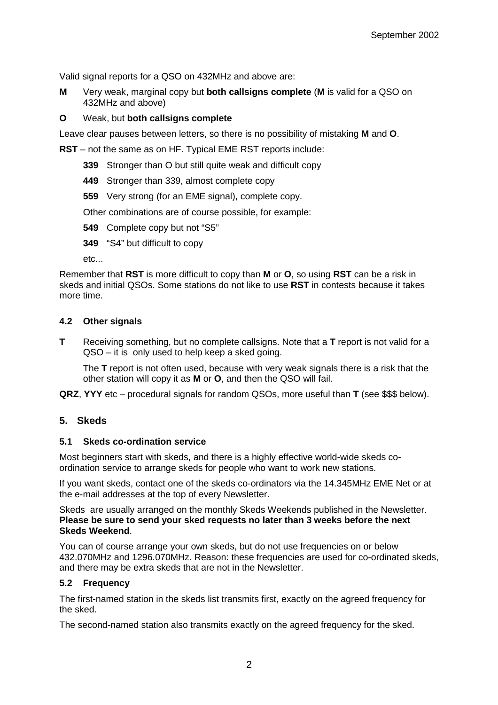Valid signal reports for a QSO on 432MHz and above are:

**M** Very weak, marginal copy but **both callsigns complete** (**M** is valid for a QSO on 432MHz and above)

### **O** Weak, but **both callsigns complete**

Leave clear pauses between letters, so there is no possibility of mistaking **M** and **O**.

**RST** – not the same as on HF. Typical EME RST reports include:

- **339** Stronger than O but still quite weak and difficult copy
- **449** Stronger than 339, almost complete copy
- **559** Very strong (for an EME signal), complete copy.

Other combinations are of course possible, for example:

- **549** Complete copy but not "S5"
- **349** "S4" but difficult to copy

etc...

Remember that **RST** is more difficult to copy than **M** or **O**, so using **RST** can be a risk in skeds and initial QSOs. Some stations do not like to use **RST** in contests because it takes more time.

### **4.2 Other signals**

**T** Receiving something, but no complete callsigns. Note that a **T** report is not valid for a QSO – it is only used to help keep a sked going.

The **T** report is not often used, because with very weak signals there is a risk that the other station will copy it as **M** or **O**, and then the QSO will fail.

**QRZ**, **YYY** etc – procedural signals for random QSOs, more useful than **T** (see \$\$\$ below).

## **5. Skeds**

### **5.1 Skeds co-ordination service**

Most beginners start with skeds, and there is a highly effective world-wide skeds coordination service to arrange skeds for people who want to work new stations.

If you want skeds, contact one of the skeds co-ordinators via the 14.345MHz EME Net or at the e-mail addresses at the top of every Newsletter.

Skeds are usually arranged on the monthly Skeds Weekends published in the Newsletter. **Please be sure to send your sked requests no later than 3 weeks before the next Skeds Weekend**.

You can of course arrange your own skeds, but do not use frequencies on or below 432.070MHz and 1296.070MHz. Reason: these frequencies are used for co-ordinated skeds, and there may be extra skeds that are not in the Newsletter.

## **5.2 Frequency**

The first-named station in the skeds list transmits first, exactly on the agreed frequency for the sked.

The second-named station also transmits exactly on the agreed frequency for the sked.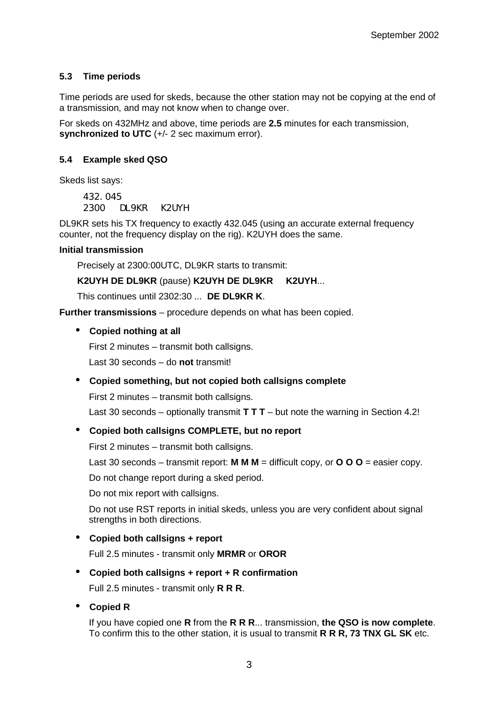## **5.3 Time periods**

Time periods are used for skeds, because the other station may not be copying at the end of a transmission, and may not know when to change over.

For skeds on 432MHz and above, time periods are **2.5** minutes for each transmission, **synchronized to UTC** (+/- 2 sec maximum error).

## **5.4 Example sked QSO**

Skeds list says:

432.045 2300 DL9KR K2UYH

DL9KR sets his TX frequency to exactly 432.045 (using an accurate external frequency counter, not the frequency display on the rig). K2UYH does the same.

### **Initial transmission**

Precisely at 2300:00UTC, DL9KR starts to transmit:

**K2UYH DE DL9KR** (pause) **K2UYH DE DL9KR K2UYH**...

This continues until 2302:30 ... **DE DL9KR K**.

**Further transmissions** – procedure depends on what has been copied.

• **Copied nothing at all**

First 2 minutes – transmit both callsigns.

Last 30 seconds – do **not** transmit!

### • **Copied something, but not copied both callsigns complete**

First 2 minutes – transmit both callsigns.

Last 30 seconds – optionally transmit **T T T** – but note the warning in Section 4.2!

### • **Copied both callsigns COMPLETE, but no report**

First 2 minutes – transmit both callsigns.

Last 30 seconds – transmit report:  $M M =$  difficult copy, or  $O O O =$  easier copy.

Do not change report during a sked period.

Do not mix report with callsigns.

Do not use RST reports in initial skeds, unless you are very confident about signal strengths in both directions.

### • **Copied both callsigns + report**

Full 2.5 minutes - transmit only **MRMR** or **OROR**

### • **Copied both callsigns + report + R confirmation**

Full 2.5 minutes - transmit only **R R R**.

• **Copied R**

If you have copied one **R** from the **R R R**... transmission, **the QSO is now complete**. To confirm this to the other station, it is usual to transmit **R R R, 73 TNX GL SK** etc.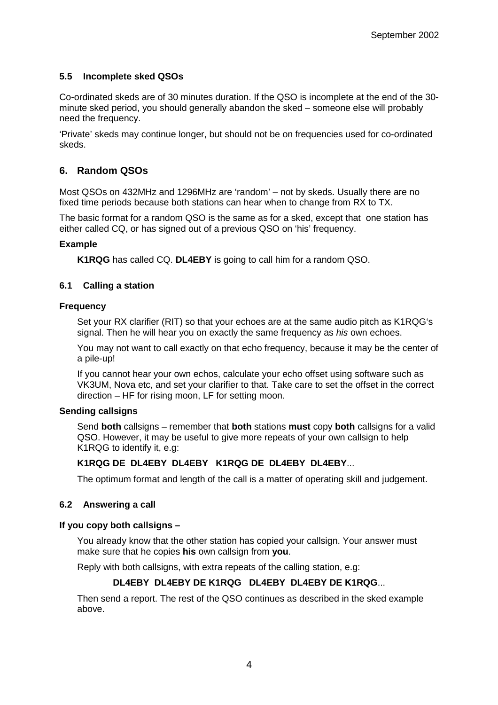## **5.5 Incomplete sked QSOs**

Co-ordinated skeds are of 30 minutes duration. If the QSO is incomplete at the end of the 30 minute sked period, you should generally abandon the sked – someone else will probably need the frequency.

'Private' skeds may continue longer, but should not be on frequencies used for co-ordinated skeds.

## **6. Random QSOs**

Most QSOs on 432MHz and 1296MHz are 'random' – not by skeds. Usually there are no fixed time periods because both stations can hear when to change from RX to TX.

The basic format for a random QSO is the same as for a sked, except that one station has either called CQ, or has signed out of a previous QSO on 'his' frequency.

### **Example**

**K1RQG** has called CQ. **DL4EBY** is going to call him for a random QSO.

### **6.1 Calling a station**

#### **Frequency**

Set your RX clarifier (RIT) so that your echoes are at the same audio pitch as K1RQG's signal. Then he will hear you on exactly the same frequency as *his* own echoes.

You may not want to call exactly on that echo frequency, because it may be the center of a pile-up!

If you cannot hear your own echos, calculate your echo offset using software such as VK3UM, Nova etc, and set your clarifier to that. Take care to set the offset in the correct direction – HF for rising moon, LF for setting moon.

### **Sending callsigns**

Send **both** callsigns – remember that **both** stations **must** copy **both** callsigns for a valid QSO. However, it may be useful to give more repeats of your own callsign to help K1RQG to identify it, e.g:

### **K1RQG DE DL4EBY DL4EBY K1RQG DE DL4EBY DL4EBY**...

The optimum format and length of the call is a matter of operating skill and judgement.

### **6.2 Answering a call**

### **If you copy both callsigns –**

You already know that the other station has copied your callsign. Your answer must make sure that he copies **his** own callsign from **you**.

Reply with both callsigns, with extra repeats of the calling station, e.g:

### **DL4EBY DL4EBY DE K1RQG DL4EBY DL4EBY DE K1RQG**...

Then send a report. The rest of the QSO continues as described in the sked example above.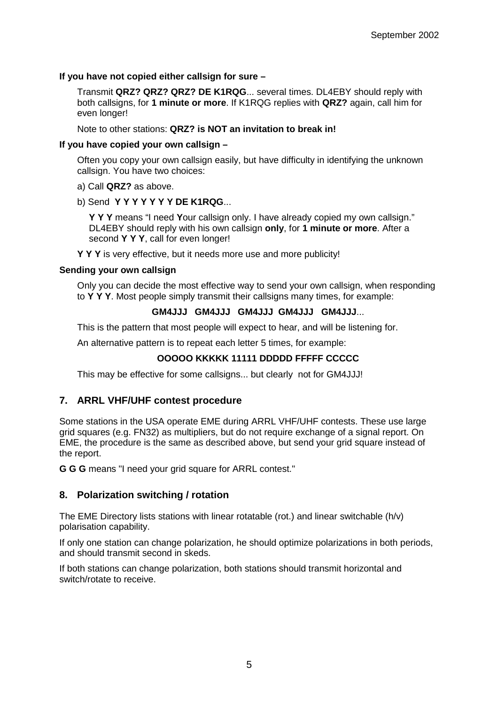## **If you have not copied either callsign for sure –**

Transmit **QRZ? QRZ? QRZ? DE K1RQG**... several times. DL4EBY should reply with both callsigns, for **1 minute or more**. If K1RQG replies with **QRZ?** again, call him for even longer!

Note to other stations: **QRZ? is NOT an invitation to break in!**

### **If you have copied your own callsign –**

Often you copy your own callsign easily, but have difficulty in identifying the unknown callsign. You have two choices:

- a) Call **QRZ?** as above.
- b) Send **Y Y Y Y Y Y Y DE K1RQG**...

**Y Y Y** means "I need **Y**our callsign only. I have already copied my own callsign." DL4EBY should reply with his own callsign **only**, for **1 minute or more**. After a second **Y Y Y**, call for even longer!

**Y Y Y** is very effective, but it needs more use and more publicity!

### **Sending your own callsign**

Only you can decide the most effective way to send your own callsign, when responding to **Y Y Y**. Most people simply transmit their callsigns many times, for example:

### **GM4JJJ GM4JJJ GM4JJJ GM4JJJ GM4JJJ**...

This is the pattern that most people will expect to hear, and will be listening for.

An alternative pattern is to repeat each letter 5 times, for example:

## **OOOOO KKKKK 11111 DDDDD FFFFF CCCCC**

This may be effective for some callsigns... but clearly not for GM4JJJ!

## **7. ARRL VHF/UHF contest procedure**

Some stations in the USA operate EME during ARRL VHF/UHF contests. These use large grid squares (e.g. FN32) as multipliers, but do not require exchange of a signal report. On EME, the procedure is the same as described above, but send your grid square instead of the report.

**G G G** means "I need your grid square for ARRL contest."

### **8. Polarization switching / rotation**

The EME Directory lists stations with linear rotatable (rot.) and linear switchable (h/v) polarisation capability.

If only one station can change polarization, he should optimize polarizations in both periods, and should transmit second in skeds.

If both stations can change polarization, both stations should transmit horizontal and switch/rotate to receive.